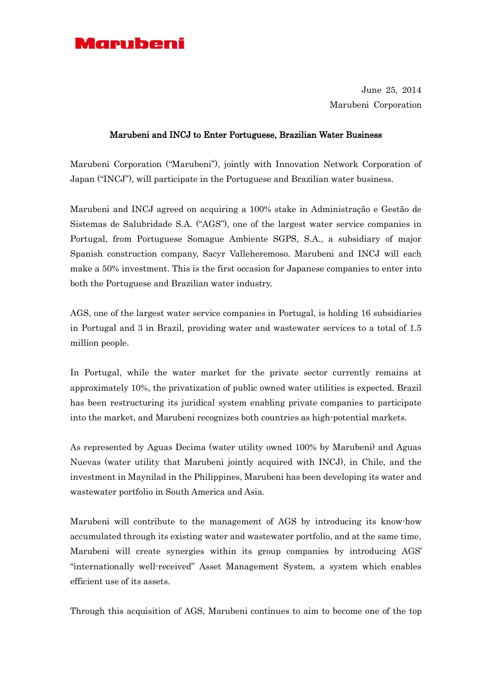

June 25, 2014 Marubeni Corporation

## Marubeni and INCJ to Enter Portuguese, Brazilian Water Business

Marubeni Corporation ("Marubeni"), jointly with Innovation Network Corporation of Japan ("INCJ"), will participate in the Portuguese and Brazilian water business.

Marubeni and INCJ agreed on acquiring a 100% stake in Administração e Gestão de Sistemas de Salubridade S.A. ("AGS"), one of the largest water service companies in Portugal, from Portuguese Somague Ambiente SGPS, S.A., a subsidiary of major Spanish construction company, Sacyr Valleheremoso. Marubeni and INCJ will each make a 50% investment. This is the first occasion for Japanese companies to enter into both the Portuguese and Brazilian water industry.

AGS, one of the largest water service companies in Portugal, is holding 16 subsidiaries in Portugal and 3 in Brazil, providing water and wastewater services to a total of 1.5 million people.

In Portugal, while the water market for the private sector currently remains at approximately 10%, the privatization of public owned water utilities is expected. Brazil has been restructuring its juridical system enabling private companies to participate into the market, and Marubeni recognizes both countries as high-potential markets.

As represented by Aguas Decima (water utility owned 100% by Marubeni) and Aguas Nuevas (water utility that Marubeni jointly acquired with INCJ), in Chile, and the investment in Maynilad in the Philippines, Marubeni has been developing its water and wastewater portfolio in South America and Asia.

Marubeni will contribute to the management of AGS by introducing its know-how accumulated through its existing water and wastewater portfolio, and at the same time, Marubeni will create synergies within its group companies by introducing AGS' "internationally well-received" Asset Management System, a system which enables efficient use of its assets.

Through this acquisition of AGS, Marubeni continues to aim to become one of the top